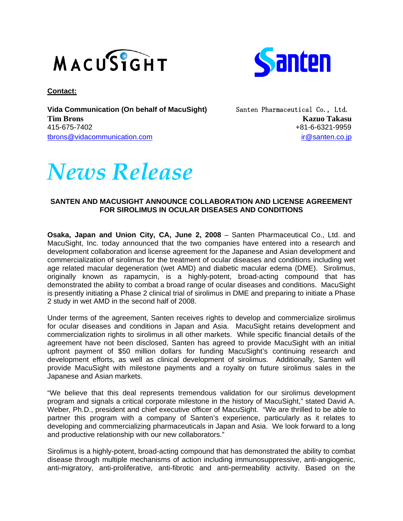



**Contact:**

Vida Communication (On behalf of MacuSight) Santen Pharmaceutical Co., Ltd. **Tim Brons Kazuo Takasu** 415-675-7402 +81-6-6321-9959 [tbrons@vidacommunication.com](mailto:tbrons@vidacommunication.com) is a set of the same of the same of the same of the same of the same of the same of the same of the same of the same of the same of the same of the same of the same of the same of the same of t

# *News Release*

# **SANTEN AND MACUSIGHT ANNOUNCE COLLABORATION AND LICENSE AGREEMENT FOR SIROLIMUS IN OCULAR DISEASES AND CONDITIONS**

**Osaka, Japan and Union City, CA, June 2, 2008** – Santen Pharmaceutical Co., Ltd. and MacuSight, Inc. today announced that the two companies have entered into a research and development collaboration and license agreement for the Japanese and Asian development and commercialization of sirolimus for the treatment of ocular diseases and conditions including wet age related macular degeneration (wet AMD) and diabetic macular edema (DME). Sirolimus, originally known as rapamycin, is a highly-potent, broad-acting compound that has demonstrated the ability to combat a broad range of ocular diseases and conditions. MacuSight is presently initiating a Phase 2 clinical trial of sirolimus in DME and preparing to initiate a Phase 2 study in wet AMD in the second half of 2008.

Under terms of the agreement, Santen receives rights to develop and commercialize sirolimus for ocular diseases and conditions in Japan and Asia. MacuSight retains development and commercialization rights to sirolimus in all other markets. While specific financial details of the agreement have not been disclosed, Santen has agreed to provide MacuSight with an initial upfront payment of \$50 million dollars for funding MacuSight's continuing research and development efforts, as well as clinical development of sirolimus. Additionally, Santen will provide MacuSight with milestone payments and a royalty on future sirolimus sales in the Japanese and Asian markets.

"We believe that this deal represents tremendous validation for our sirolimus development program and signals a critical corporate milestone in the history of MacuSight," stated David A. Weber, Ph.D., president and chief executive officer of MacuSight. "We are thrilled to be able to partner this program with a company of Santen's experience, particularly as it relates to developing and commercializing pharmaceuticals in Japan and Asia. We look forward to a long and productive relationship with our new collaborators."

Sirolimus is a highly-potent, broad-acting compound that has demonstrated the ability to combat disease through multiple mechanisms of action including immunosuppressive, anti-angiogenic, anti-migratory, anti-proliferative, anti-fibrotic and anti-permeability activity. Based on the